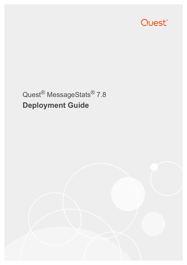

# Quest® MessageStats® 7.8 **Deployment Guide**

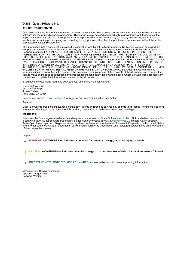#### **© 2021 Quest Software Inc.**

#### **ALL RIGHTS RESERVED.**

This guide contains proprietary information protected by copyright. The software described in this guide is furnished under a software license or nondisclosure agreement. This software may be used or copied only in accordance with the terms of the applicable agreement. No part of this guide may be reproduced or transmitted in any form or by any means, electronic or mechanical, including photocopying and recording for any purpose other than the purchaser's personal use without the written permission of Quest Software Inc.

The information in this document is provided in connection with Quest Software products. No license, express or implied, by estoppel or otherwise, to any intellectual property right is granted by this document or in connection with the sale of Quest<br>Software products. EXCEPT AS SET FORTH IN THE TERMS AND CONDITIONS AS SPECIFIED IN THE LICENSE<br>A EXPRESS, IMPLIED OR STATUTORY WARRANTY RELATING TO ITS PRODUCTS INCLUDING, BUT NOT LIMITED TO, THE IMPLIED WARRANTY OF MERCHANTABILITY, FITNESS FOR A PARTICULAR PURPOSE, OR NON-INFRINGEMENT. IN NO EVENT SHALL QUEST SOFTWARE BE LIABLE FOR ANY DIRECT, INDIRECT, CONSEQUENTIAL, PUNITIVE, SPECIAL OR INCIDENTAL DAMAGES (INCLUDING, WITHOUT LIMITATION, DAMAGES FOR LOSS OF PROFITS, BUSINESS<br>INTERRUPTION OR LOSS OF INFORMATION) ARISING OUT OF THE USE OR INABILITY TO USE THIS DOCUMENT, EVEN IF QUEST SOFTWARE HAS BEEN ADVISED OF THE POSSIBILITY OF SUCH DAMAGES. Quest Software makes no representations or warranties with respect to the accuracy or completeness of the contents of this document and reserves the right to make changes to specifications and product descriptions at any time without notice. Quest Software does not make any commitment to update the information contained in this document.

If you have any questions regarding your potential use of this material, contact:

Quest Software Inc. Attn: LEGAL Dept. 4 Polaris Way Aliso Viejo, CA 92656

Refer to our website [\(www.quest.com](http://www.quest.com)) for regional and international office information.

#### **Patents**

Quest Software is proud of our advanced technology. Patents and pending patents may apply to this product. For the most current information about applicable patents for this product, please visit our website at www.quest.com/legal.

#### **Trademarks**

Quest and the Quest logo are trademarks and registered trademarks of Quest Software Inc. in the U.S.A. and other countries. For a complete list of Quest Software trademarks, please visit our website at [www.quest.com/legal.](http://www.quest.com/legal) Microsoft, Active Directory, ActiveSync, Excel, Lync, and Skype are either registered trademarks or trademarks of Microsoft Corporation in the United States and/or other countries. All other trademarks, servicemarks, registered trademarks, and registered servicemarks are the property of their respective owners.

#### **Legend**

- **WARNING: A WARNING icon indicates a potential for property damage, personal injury, or death.**
- **CAUTION: A CAUTION icon indicates potential damage to hardware or loss of data if instructions are not followed.** Ţ

**IMPORTANT NOTE**, **NOTE**, **TIP**, **MOBILE**, or **VIDEO:** An information icon indicates supporting information.i

MessageStats Deployment Guide Updated - August 2021 Software Version - 7.8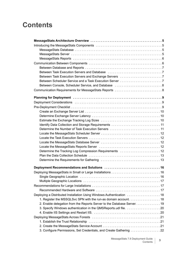# **Contents**

| Between Task Execution Servers and Exchange Servers 7                                                          |  |
|----------------------------------------------------------------------------------------------------------------|--|
|                                                                                                                |  |
|                                                                                                                |  |
| Communication Requirements for MessageStats Reports  8                                                         |  |
|                                                                                                                |  |
|                                                                                                                |  |
| Deployment Considerations (and account of the contract of the contract of the Deployment Considerations (and t |  |
|                                                                                                                |  |
|                                                                                                                |  |
|                                                                                                                |  |
|                                                                                                                |  |
| Identify Data Collection and Storage Requirements  11                                                          |  |
| Determine the Number of Task Execution Servers  11                                                             |  |
|                                                                                                                |  |
|                                                                                                                |  |
|                                                                                                                |  |
|                                                                                                                |  |
| Determine the Tracking Log Compression Requirements  12                                                        |  |
|                                                                                                                |  |
|                                                                                                                |  |
|                                                                                                                |  |
|                                                                                                                |  |
|                                                                                                                |  |
|                                                                                                                |  |
|                                                                                                                |  |
|                                                                                                                |  |
| Deploying a Distributed Installation Using Windows Authentication  18                                          |  |
| 1. Register the MSSQLSvc SPN with the run-as domain account. 18                                                |  |
| 2. Enable delegation from the Reports Server to the Database Server. 19                                        |  |
|                                                                                                                |  |
|                                                                                                                |  |
|                                                                                                                |  |
|                                                                                                                |  |
|                                                                                                                |  |
| 3. Configure Permissions, Set Credentials, and Create Gathering 22                                             |  |
|                                                                                                                |  |

MessageStats 7.8 Deployment Guide Contents **<sup>3</sup>**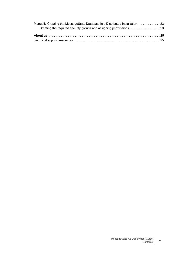| Manually Creating the MessageStats Database in a Distributed Installation 23 |  |
|------------------------------------------------------------------------------|--|
| Creating the required security groups and assigning permissions 23           |  |
|                                                                              |  |
|                                                                              |  |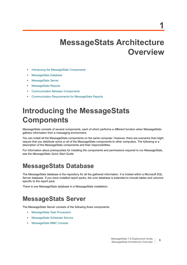# **MessageStats Architecture Overview**

**1**

- <span id="page-4-0"></span>**•** [Introducing the MessageStats Components](#page-4-1)
- **•** [MessageStats Database](#page-4-2)
- **•** [MessageStats Server](#page-4-3)
- **•** [MessageStats Reports](#page-5-0)
- **•** [Communication Between Components](#page-5-1)
- **•** [Communication Requirements for MessageStats Reports](#page-7-1)

# <span id="page-4-1"></span>**Introducing the MessageStats Components**

MessageStats consists of several components, each of which performs a different function when MessageStats gathers information from a messaging environment.

You can install all the MessageStats components on the same computer. However, there are scenarios that might require that you distribute some or all of the MessageStats components to other computers. The following is a description of the MessageStats components and their responsibilities.

For information about prerequisites for installing the components and permissions required to run MessageStats, see the *MessageStats Quick Start Guide*.

# <span id="page-4-2"></span>**MessageStats Database**

The MessageStats database is the repository for all the gathered information. It is hosted within a Microsoft SQL Server database. If you have installed report packs, the core database is extended to include tables and columns specific to the report pack.

There is one MessageStats database in a MessageStats installation.

# <span id="page-4-3"></span>**MessageStats Server**

The MessageStats Server consists of the following three components:

- **•** [MessageStats Task Processors](#page-5-2)
- **•** [MessageStats Scheduler Service](#page-5-3)
- **•** [MessageStats MMC Console](#page-5-4)

**5**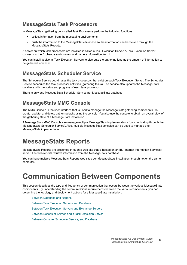### <span id="page-5-2"></span>**MessageStats Task Processors**

In MessageStats, gathering units called Task Processors perform the following functions:

- **•** collect information from the messaging environments.
- **•** push the information to the MessageStats database so the information can be viewed through the MessageStats Reports.

A server on which task processors are installed is called a Task Execution Server. A Task Execution Server connects to the Exchange environment and gathers information from it.

You can install additional Task Execution Servers to distribute the gathering load as the amount of information to be gathered increases.

## <span id="page-5-3"></span>**MessageStats Scheduler Service**

The Scheduler Service coordinates the task processors that exist on each Task Execution Server. The Scheduler Service schedules the task processor activities (gathering tasks). The service also updates the MessageStats database with the status and progress of each task processor.

There is only one MessageStats Scheduler Service per MessageStats database.

## <span id="page-5-4"></span>**MessageStats MMC Console**

The MMC Console is the user interface that is used to manage the MessageStats gathering components. You create, update, and delete gathering tasks using the console. You also use the console to obtain an overall view of the gathering state of a MessageStats installation.

A MessageStats MMC Console can manage multiple MessageStats implementations (communicating through the MessageStats Scheduler Service). Also, multiple MessageStats consoles can be used to manage one MessageStats implementation.

# <span id="page-5-0"></span>**MessageStats Reports**

MessageStats Reports are presented through a web site that is hosted on an IIS (Internet Information Services) server. The web reports retrieve information from the MessageStats database.

You can have multiple MessageStats Reports web sites per MessageStats installation, though not on the same computer.

# <span id="page-5-1"></span>**Communication Between Components**

This section describes the type and frequency of communication that occurs between the various MessageStats components. By understanding the communications requirements between the various components, you can determine the topology and deployment options for a MessageStats installation.

- [Between Database and Reports](#page-6-0)
- [Between Task Execution Servers and Database](#page-6-1)
- [Between Task Execution Servers and Exchange Servers](#page-6-2)
- [Between Scheduler Service and a Task Execution Server](#page-6-3)
- [Between Console, Scheduler Service, and Database](#page-7-0)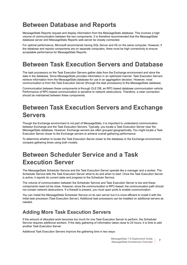## <span id="page-6-0"></span>**Between Database and Reports**

MessageStats Reports request and display information from the MessageStats database. This involves a high volume of communication between the two components. It is therefore recommended that the MessageStats database server and MessageStats Reports web server be closely connected.

For optimal performance, Microsoft recommends having SQL Server and IIS on the same computer. However, if the database and reports components are on separate computers, there must be high connectivity to ensure acceptable performance for MessageStats Reports.

# <span id="page-6-1"></span>**Between Task Execution Servers and Database**

The task processors on the Task Execution Servers gather data from the Exchange environment and store the data in the database. Since MessageStats provides information in an optimized manner, Task Execution Servers retrieve information from the MessageStats database for use in an aggregation decision. However, most communication is from the Task Execution Server (through the task processors) to the MessageStats database.

Communication between these components is through OLE DB, an RPC-based database communication vehicle. Performance of RPC-based communication is sensitive to network obstructions. Therefore, a clear connection should be maintained between these components.

# <span id="page-6-2"></span>**Between Task Execution Servers and Exchange Servers**

Though the Exchange environment is not part of MessageStats, it is important to understand communication between Exchange and the Task Execution Servers. Typically, you locate a Task Execution Server near the MessageStats database. However, Exchange servers are often grouped geographically. You might locate a Task Execution Server closer to the Exchange servers to achieve overall gathering performance.

To determine whether to locate the Task Execution Server closer to the database or the Exchange environment, compare gathering times using both models.

# <span id="page-6-3"></span>**Between Scheduler Service and a Task Execution Server**

The MessageStats Scheduler Service and the Task Execution Server operate like a manager and a worker. The Scheduler Service tells the Task Execution Server what to do and when to start. Once the Task Execution Server is active, it reports its current state and progress to the Scheduler Service.

The volume of communication between the Scheduler Service and Task Execution Server is low and these components need not be close. However, since the communication is RPC-based, the communication path should not contain network obstructions. If a firewall is present, you must open ports to enable communication.

You can install the MessageStats Scheduler Service on its own server but it is more efficient to install it with the initial task processor (Task Execution Server). Additional task processors can be installed on additional servers as needed.

## **Adding More Task Execution Servers**

If the amount of allocated work becomes too much for one Task Execution Server to perform, the Scheduler Service requires additional workers. If the daily gathering of information takes close to 24 hours, it is time to add another Task Execution Server.

Additional Task Execution Servers improve the gathering time in two ways: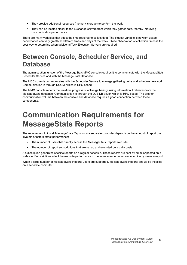- **•** They provide additional resources (memory, storage) to perform the work.
- **•** They can be located closer to the Exchange servers from which they gather data, thereby improving communication performance.

There are many variables that affect the time required to collect data. The biggest variable is network usage; performance can vary greatly at different times and days of the week. Close observation of collection times is the best way to determine when additional Task Execution Servers are required.

# <span id="page-7-0"></span>**Between Console, Scheduler Service, and Database**

The administration function of the MessageStats MMC console requires it to communicate with the MessageStats Scheduler Service and with the MessageStats Database.

The MCC console communicates with the Scheduler Service to manage gathering tasks and schedule new work. Communication is through DCOM, which is RPC-based.

The MMC console reports the real-time progress of active gatherings using information it retrieves from the MessageStats database. Communication is through the OLE DB driver, which is RPC-based. The greater communication volume between the console and database requires a good connection between these components.

# <span id="page-7-1"></span>**Communication Requirements for MessageStats Reports**

The requirement to install MessageStats Reports on a separate computer depends on the amount of report use. Two main factors affect performance:

- **•** The number of users that directly access the MessageStats Reports web site.
- The number of report subscriptions that are set up and executed on a daily basis.

A subscription generates specific reports on a regular schedule. These reports are sent by email or posted on a web site. Subscriptions affect the web site performance in the same manner as a user who directly views a report.

When a large number of MessageStats Reports users are supported, MessageStats Reports should be installed on a separate computer.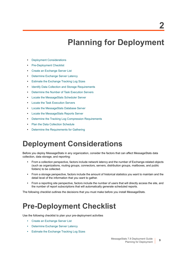# **Planning for Deployment**

- <span id="page-8-0"></span>**•** [Deployment Considerations](#page-8-1)
- **•** [Pre-Deployment Checklist](#page-8-2)
- **•** [Create an Exchange Server List](#page-9-0)
- **•** [Determine Exchange Server Latency](#page-9-1)
- **•** [Estimate the Exchange Tracking Log Sizes](#page-9-2)
- **•** [Identify Data Collection and Storage Requirements](#page-10-0)
- **•** [Determine the Number of Task Execution Servers](#page-10-1)
- **•** [Locate the MessageStats Scheduler Server](#page-11-0)
- **•** [Locate the Task Execution Servers](#page-11-1)
- **•** [Locate the MessageStats Database Server](#page-11-2)
- **•** [Locate the MessageStats Reports Server](#page-11-3)
- **•** [Determine the Tracking Log Compression Requirements](#page-11-4)
- **•** [Plan the Data Collection Schedule](#page-12-0)
- **•** [Determine the Requirements for Gathering](#page-12-1)

# <span id="page-8-1"></span>**Deployment Considerations**

Before you deploy MessageStats in any organization, consider the factors that can affect MessageStats data collection, data storage, and reporting:

- **•** From a collection perspective, factors include network latency and the number of Exchange-related objects (such as organizations, routing groups, connectors, servers, distribution groups, mailboxes, and public folders) to be collected.
- **•** From a storage perspective, factors include the amount of historical statistics you want to maintain and the detail level of the information that you want to gather.
- **•** From a reporting site perspective, factors include the number of users that will directly access the site, and the number of report subscriptions that will automatically generate scheduled reports.

The following checklist outlines the decisions that you must make before you install MessageStats.

# <span id="page-8-2"></span>**Pre-Deployment Checklist**

Use the following checklist to plan your pre-deployment activities

- **•** [Create an Exchange Server List](#page-9-0)
- **•** [Determine Exchange Server Latency](#page-9-1)
- **•** [Estimate the Exchange Tracking Log Sizes](#page-9-2)

**9**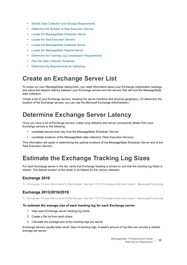- **•** [Identify Data Collection and Storage Requirements](#page-10-0)
- **•** [Determine the Number of Task Execution Servers](#page-10-1)
- **•** [Locate the MessageStats Scheduler Server](#page-11-0)
- **•** [Locate the Task Execution Servers](#page-11-1)
- **•** [Locate the MessageStats Database Server](#page-11-2)
- **•** [Locate the MessageStats Reports Server](#page-11-3)
- **•** [Determine the Tracking Log Compression Requirements](#page-11-4)
- **•** [Plan the Data Collection Schedule](#page-12-0)
- **•** [Determine the Requirements for Gathering](#page-12-1)

# <span id="page-9-0"></span>**Create an Exchange Server List**

To scope out your MessageStats deployment, you need information about your Exchange organization topology, and about the network latency between your Exchange servers and the servers that will host the MessageStats data collectors.

Create a list of your Exchange servers, showing the server functions and physical geography. (To determine the location of the Exchange servers, you can use the Microsoft Exchange Administrator.)

## <span id="page-9-1"></span>**Determine Exchange Server Latency**

Once you have a list of Exchange servers, collect ping statistics and server connectivity details from your Exchange servers to the following:

- **•** candidate servers that may host the MessageStats Scheduler Service
- **•** candidate locations of the MessageStats data collectors (Task Execution Servers).

This information will assist in determining the optimal locations of the MessageStats Scheduler Server and of the Task Execution Servers.

# <span id="page-9-2"></span>**Estimate the Exchange Tracking Log Sizes**

For each Exchange server in the list, verify that Exchange tracking is turned on and that the tracking log folder is shared. The default location of the folder is as follows for the various releases:

### **Exchange 2010**

C:\Program Files\Microsoft\Exchange Server\V14\TransportRoles\Logs\ MessageTracking

### **Exchange 2013/2016/2019**

C:\Program Files\Microsoft\Exchange Server\V15\TransportRoles\Logs\ MessageTracking

### *To estimate the average size of each tracking log for each Exchange server*

- 1 View each Exchange server tracking log share.
- 2 Create a file list from each share.
- 3 Calculate the average size of the tracking logs per server.

Exchange servers usually keep seven days of tracking logs. A week's amount of log files can provide a reliable average per server.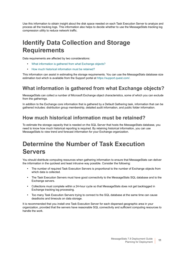Use this information to obtain insight about the disk space needed on each Task Execution Server to analyze and process all the tracking logs. This information also helps to decide whether to use the MessageStats tracking log compression utility to reduce network traffic.

# <span id="page-10-0"></span>**Identify Data Collection and Storage Requirements**

Data requirements are affected by two considerations:

- **•** [What information is gathered from what Exchange objects?](#page-10-2)
- **•** [How much historical information must be retained?](#page-10-3)

This information can assist in estimating the storage requirements. You can use the MessageStats database size estimation tool which is available from the Support portal at [https://support.quest.com/.](https://support.quest.com/)

## <span id="page-10-2"></span>**What information is gathered from what Exchange objects?**

MessageStats can collect a number of Microsoft Exchange object characteristics, some of which you can exclude from the gatherings.

In addition to the Exchange core information that is gathered by a Default Gathering task, information that can be gathered includes: distribution group membership, detailed audit information, and public folder information.

## <span id="page-10-3"></span>**How much historical information must be retained?**

To estimate the storage capacity that is needed on the SQL Server that hosts the MessageStats database, you need to know how much historical reporting is required. By retaining historical information, you can use MessageStats to view trend and forecast information for your Exchange organization.

# <span id="page-10-1"></span>**Determine the Number of Task Execution Servers**

You should distribute computing resources when gathering information to ensure that MessageStats can deliver the information in the quickest and least intrusive way possible. Consider the following:

- **•** The number of required Task Execution Servers is proportional to the number of Exchange objects from which data is collected.
- **•** The Task Execution Servers must have good connectivity to the MessageStats SQL database and to the Exchange servers.
- **•** Collections must complete within a 24-hour cycle so that MessageStats does not get backlogged in Exchange tracking log processing.
- **•** Too many Task Execution Servers trying to connect to the SQL database at the same time can cause deadlocks and timeouts on data storage.

It is recommended that you install one Task Execution Server for each dispersed geographic area in your organization, provided that the servers have reasonable SQL connectivity and sufficient computing resources to handle the work.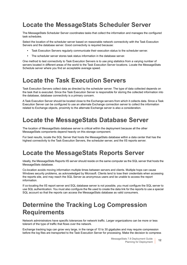# <span id="page-11-0"></span>**Locate the MessageStats Scheduler Server**

The MessageStats Scheduler Server coordinates tasks that collect the information and manages the configured task schedules.

Select the location of the scheduler server based on reasonable network connectivity with the Task Execution Servers and the database server. Good connectivity is required because:

- **•** Task Execution Servers regularly communicate their execution status to the scheduler server.
- **•** The scheduler server stores task status information in the database server.

One method to test connectivity to Task Execution Servers is to use ping statistics from a varying number of servers located in different areas of the world to the Task Execution Server locations. Locate the MessageStats Schedule server where you find an acceptable average speed.

## <span id="page-11-1"></span>**Locate the Task Execution Servers**

Task Execution Servers collect data as directed by the scheduler server. The type of data collected depends on the task that is executed. Since the Task Execution Server is responsible for storing the collected information into the database, database connectivity is a primary concern.

A Task Execution Server should be located close to the Exchange servers from which it collects data. Since a Task Execution Server can be configured to use an alternate Exchange connection server to collect the information related to Exchange objects, proximity to the alternate Exchange server is also a consideration.

# <span id="page-11-2"></span>**Locate the MessageStats Database Server**

The location of MessageStats database server is critical within the deployment because all the other MessageStats components depend heavily on this storage component.

For best results, locate the SQL Server that hosts the MessageStats database within a data center that has the highest connectivity to the Task Execution Servers, the scheduler server, and the IIS reports server.

## <span id="page-11-3"></span>**Locate the MessageStats Reports Server**

Ideally, the MessageStats Reports IIS server should reside on the same computer as the SQL server that hosts the MessageStats database.

Co-location avoids moving information multiple times between servers and clients. Multiple hops can cause Windows security problems, as acknowledged by Microsoft. Clients tend to lose their credentials when accessing the reports site, and may reach the SQL Server as anonymous users and be unable to access the report information.

If co-locating the IIS report server and SQL database server is not possible, you must configure the SQL server to use SQL authentication. You must also configure the file used to create the data link for the reports to use a special SQL account so that the reports can access the MessageStats database as valid consumers.

# <span id="page-11-4"></span>**Determine the Tracking Log Compression Requirements**

Network administrators have specific tolerances for network traffic. Larger organizations can be more or less tolerant of the type of traffic that flows over the network.

Exchange tracking logs can grow very large, in the range of 10 to 30 gigabytes and may require compression before the log files are transported to the Task Execution Server for processing. Make the decision to compress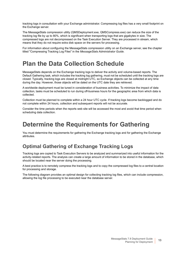tracking logs in consultation with your Exchange administrator. Compressing log files has a very small footprint on the Exchange server.

The MessageStats compression utility (QMSDeployment.exe, QMSCompress.exe) can reduce the size of the tracking log file by up to 80%, which is significant when transporting logs that are gigabytes in size. The compressed logs are not decompressed on the Task Execution Server. They are processed in stream, which means that they do not require extra disk space on the servers for processing.

For information about configuring the MessageStats compression utility on an Exchange server, see the chapter titled "Compressing Tracking Log Files" in the *MessageStats Administrator Guide*.

## <span id="page-12-0"></span>**Plan the Data Collection Schedule**

MessageStats depends on the Exchange tracking logs to deliver the activity and volume-based reports. The Default Gathering task, which includes the tracking log gathering, must not be scheduled until the tracking logs are closed. Typically, tracking logs are closed at midnight UTC, so Exchange objects can be collected at any time during the day. However, those objects will be dated on the UTC date they are retrieved.

A worldwide deployment must be tuned in consideration of business activities. To minimize the impact of data collection, tasks must be scheduled to run during off-business hours for the geographic area from which data is collected.

Collection must be planned to complete within a 24 hour UTC cycle. If tracking logs become backlogged and do not complete within 24 hours, collection and subsequent reports will not be accurate.

Consider the time periods when the reports web site will be accessed the most and avoid that time period when scheduling data collection.

## <span id="page-12-1"></span>**Determine the Requirements for Gathering**

You must determine the requirements for gathering the Exchange tracking logs and for gathering the Exchange attributes.

## **Optimal Gathering of Exchange Tracking Logs**

Tracking logs are copied to Task Execution Servers to be analyzed and summarized into useful information for the activity-related reports. The analysis can create a large amount of information to be stored in the database, which should be located near the server doing the processing.

A best practice is to remotely compress the tracking logs and to copy the compressed log files to a central location for processing and storage.

The following diagram provides an optimal design for collecting tracking log files, which can include compression, allowing the log file processing to be executed near the database server.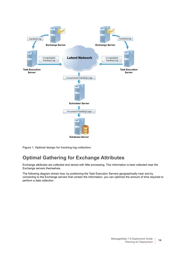

**Figure 1. Optimal design for tracking log collection.**

## **Optimal Gathering for Exchange Attributes**

Exchange attributes are collected and stored with little processing. This information is best collected near the Exchange servers themselves.

The following diagram shows how, by positioning the Task Execution Servers geographically near and by connecting to the Exchange servers that contain the information, you can optimize the amount of time required to perform a data collection.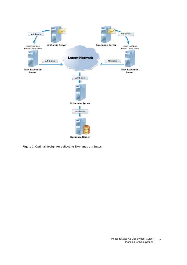

**Figure 2. Optimal design for collecting Exchange attributes.**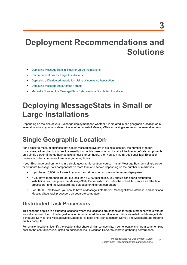# <span id="page-15-0"></span>**Deployment Recommendations and Solutions**

- **•** [Deploying MessageStats in Small or Large Installations](#page-15-1)
- **•** [Recommendations for Large Installations](#page-16-1)
- **•** [Deploying a Distributed Installation Using Windows Authentication](#page-17-0)
- **•** [Deploying MessageStats Across Forests](#page-20-0)
- **•** [Manually Creating the MessageStats Database in a Distributed Installation](#page-22-0)

# <span id="page-15-1"></span>**Deploying MessageStats in Small or Large Installations**

Depending on the size of your Exchange deployment and whether it is situated in one geographic location or in several locations, you must determine whether to install MessageStats on a single server or on several servers.

# <span id="page-15-2"></span>**Single Geographic Location**

For a small-to-medium business that has its messaging system in a single location, the number of report consumers, either direct or indirect, is usually low. In this case, you can install all the MessageStats components on a single server. If the gatherings take longer than 24 hours, then you can install additional Task Execution Servers on other computers to reduce gathering times.

If your Exchange environment is in a single geographic location, you can install MessageStats on a single server or distribute MessageStats components on more than one server, depending on the number of mailboxes.

- **•** If you have 10,000 mailboxes in your organization, you can use single server deployment.
- **•** If you have more than 10,000 but less than 50,000 mailboxes, you should consider a distributed installation. You can place the MessageStats Server (which includes the scheduler service and the task processors) and the MessageStats database on different computers.
- **•** For 50,000+ mailboxes, you should have a MessageStats Server, MessageStats Database, and additional MessageStats task processors on separate computers.

## **Distributed Task Processors**

This scenario applies to distributed locations where the locations are connected through internal networks with no firewalls between them. The largest location is considered the central location. You can install the MessageStats Scheduler Service, the MessageStats Database, at least one Task Execution Server, and MessageStats Reports on this computer.

For smaller locations, identify the locations that share similar connectivity. If some locations share a common pipe back to the central location, install an additional Task Execution Server to improve gathering performance.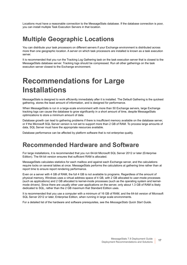Locations must have a reasonable connection to the MessageStats database. If the database connection is poor, you can install multiple Task Execution Servers in that location.

# <span id="page-16-0"></span>**Multiple Geographic Locations**

You can distribute your task processors on different servers if your Exchange environment is distributed across more than one geographic location. A server on which task processors are installed is known as a task execution server.

It is recommended that you run the Tracking Log Gathering task on the task execution server that is closest to the MessageStats database server. Tracking logs should be compressed. Run all other gatherings on the task execution server closest to the Exchange environment.

# <span id="page-16-1"></span>**Recommendations for Large Installations**

MessageStats is designed to work efficiently immediately after it is installed. The Default Gathering is the quickest gathering, stores the least amount of information, and is designed for performance.

When MessageStats is run in a large-scale environment with more than 50 Exchange servers, large Exchange tracking logs can cause the database to grow significantly in a short amount of time, despite MessageStats optimizations to store a minimum amount of data.

Database growth can lead to gathering problems if there is insufficient memory available on the database server, or if the Microsoft SQL Server version is not set to support more than 2 GB of RAM. To process large amounts of data, SQL Server must have the appropriate resources available.

Database performance can be affected by platform software that is not enterprise quality.

## <span id="page-16-2"></span>**Recommended Hardware and Software**

For large installations, it is recommended that you run 64-bit Microsoft SQL Server 2012 or later (Enterprise Edition). The 64-bit version ensures that sufficient RAM is allocated.

MessageStats calculates statistics for each mailbox and against each Exchange server, and the calculations require locks on several tables at once. MessageStats performs the calculations at gathering time rather than at report time to ensure report rendering performance.

Even on a server with 4 GB of RAM, the full 4 GB is not available to programs. Regardless of the amount of physical memory, Windows uses a virtual address space of 4 GB, with 2 GB allocated to user-mode processes (such as applications) and 2 GB allocated to kernel-mode processes (such as the operating system and kernelmode drivers). Since there are usually other user applications on the server, only about 1.3 GB of RAM is likely dedicated to SQL, rather than the 2 GB maximum that Standard Edition uses.

It is recommended that you use a computer with a minimum of 16 GB of RAM, and the 64-bit version of Microsoft SQL Server 2012 or later, Enterprise Edition, when running in large scale environments.

For a detailed list of the hardware and software prerequisites, see the *MessageStats Quick Start Guide*.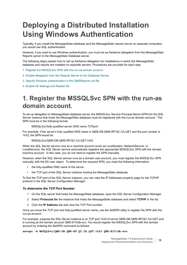# <span id="page-17-0"></span>**Deploying a Distributed Installation Using Windows Authentication**

Typically, if you install the MessageStats database and the MessageStats reports server on separate computers, you would use SQL authentication.

However, if you want to use Windows authentication, you must set up Kerberos delegation from the MessageStats Reports server to the MessageStats Database server.

The following steps explain how to set up Kerberos delegation for installations in which the MessageStats database and reports are installed on separate servers. Procedures are provided for each step.

- [1. Register the MSSQLSvc SPN with the run-as domain account.](#page-17-1)
- [2. Enable delegation from the Reports Server to the Database Server.](#page-18-0)
- [3. Specify Windows authentication in the QMSReports.udl file.](#page-19-0)
- [4. Enable IIS Settings and Restart IIS.](#page-19-1)

# <span id="page-17-1"></span>**1. Register the MSSQLSvc SPN with the run-as domain account.**

To set up delegation to MessageStats database server, the MSSQLSvc Service Principal Name (SPN) for the SQL Server instance that hosts the MessageStats database must be registered with the run-as domain account. The SPN must be in the following format:

#### MSSQLSvc/*fully-qualified server DNS name*:*TCPport*

For example, if the server's fully qualified DNS name is QMS-DB.QMS-RP.QC.CA.QST and the port number is 1433, the SPN would be:

MSSQLSvc/QMS-DB.QMS-RP.QC.CA.QST:1433

When the SQL Server service runs as a machine account (such as LocalSystem, NetworkService, or LocalService), the SQL Server service automatically registers the appropriate MSSQLSvc SPN with the domain machine account. In this case, you do not need to register the SPN manually.

However, when the SQL Server service runs as a domain user account, you must register the MSSQLSvc SPN manually with the AD user object. To determine the required SPN, you need the following information:

- **•** the fully-qualified DNS name of the server
- **•** the TCP port of the SQL Server instance hosting the MessageStats database.

To find the TCP port of the SQL Server instance, you can view the IP Addresses property page for the TCP/IP protocol in the SQL Server Configuration Manager.

#### *To determine the TCP Port Number*

- 1 On the SQL server that hosts the MessageStats database, open the SQL Server Configuration Manager.
- 2 Select **Protocols for** the instance that hosts the MessageStats database and select **TCP/IP** in the list.
- 3 Click the **IP Address** tab and view the TCP Port number.

Once you know the TCP port and fully-qualified server name, use the SetSPN utility to register the SPN with the run-as account.

For example, suppose the SQL Server instance is on TCP port 1433 of server QMS-DB.QMS-RP.QC.CA.QST and is running as the domain account QMS-E10\db-svc. You would register the MSSQLSvc SPN with the domain account by entering the SetSPN command as follows:

#### **setspn -A MSSQLSvc/QMS-DB.QMS-RP.QC.CA.QST:1433 QMS-E10\db-svc**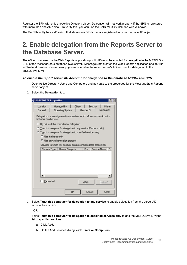Register the SPN with only one Active Directory object. Delegation will not work properly if the SPN is registered with more than one AD object. To verify this, you can use the SetSPN utility included with Windows.

The SetSPN utility has a -X switch that shows any SPNs that are registered to more than one AD object.

# <span id="page-18-0"></span>**2. Enable delegation from the Reports Server to the Database Server.**

The AD account used by the Web Reports application pool in IIS must be enabled for delegation to the MSSQLSvc SPN of the MessageStats database SQL server. MessageStats creates the Web Reports application pool to "run as" NetworkService. Consequently, you must enable the report server's AD account for delegation to the MSSQLSvc SPN.

### *To enable the report server AD Account for delegation to the database MSSQLSvc SPN*

- 1 Open Active Directory Users and Computers and navigate to the properties for the MessageStats Reports server object.
- 2 Select the **Delegation** tab.

| <b>OMS-REPORTS Properties</b>                                                                            |                                       |               |                       |                       |                       |  |  |  |
|----------------------------------------------------------------------------------------------------------|---------------------------------------|---------------|-----------------------|-----------------------|-----------------------|--|--|--|
| Location<br>General                                                                                      | Managed By<br><b>Operating System</b> | <b>Object</b> | Security<br>Member Of | Dial-in<br>Delegation |                       |  |  |  |
| Delegation is a security-sensitive operation, which allows services to act on<br>behalf of another user. |                                       |               |                       |                       |                       |  |  |  |
| C Do not trust this computer for delegation                                                              |                                       |               |                       |                       |                       |  |  |  |
| [7] Trust this computer for delegation to any service [Kerberos only]                                    |                                       |               |                       |                       |                       |  |  |  |
| Trust this computer for delegation to specified services only                                            |                                       |               |                       |                       |                       |  |  |  |
| <b>C</b> Use Kerberos only                                                                               |                                       |               |                       |                       |                       |  |  |  |
| • Use any authentication protocol                                                                        |                                       |               |                       |                       |                       |  |  |  |
| Services to which this account can present delegated credentials:                                        |                                       |               |                       |                       |                       |  |  |  |
|                                                                                                          | Service Type   User or Computer       |               | Port                  | Service Name Dc       |                       |  |  |  |
|                                                                                                          |                                       |               |                       |                       | $\blacktriangleright$ |  |  |  |
| Expanded                                                                                                 |                                       |               | Add                   | <b>Remove</b>         |                       |  |  |  |
|                                                                                                          |                                       | <b>DK</b>     | Cancel                | Apply                 |                       |  |  |  |

3 Select **Trust this computer for delegation to any service** to enable delegation from the server AD account to any SPN.

- OR-

Select **Trust this computer for delegation to specified services only** to add the MSSQLSvc SPN the list of specified services.

- a Click **Add**.
- b On the Add Services dialog, click **Users or Computers**.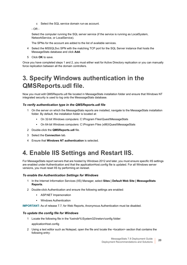c Select the SQL service domain run-as account.

- OR -

Select the computer running the SQL server service (if the service is running as LocalSystem, NetworkService, or LocalService).

The SPNs for the account are added to the list of available services.

- 4 Select the MSSQLSvc SPN with the matching TCP port for the SQL Server instance that hosts the MessageStats database and click **Add**.
- 5 Click **OK** to save.

Once you have completed steps 1 and 2, you must either wait for Active Directory replication or you can manually force replication between all the domain controllers.

# <span id="page-19-0"></span>**3. Specify Windows authentication in the QMSReports.udl file.**

Now you must edit QMSReports.udl file located in MessageStats installation folder and ensure that Windows NT integrated security is used to log onto the MesssageStats database.

### *To verify authentication type in the QMSReports.udl file*

- 1 On the server on which the MessageStats reports are installed, navigate to the MessageStats installation folder. By default, the installation folder is located at:
	- On 32-bit Windows computers: C:\Program Files\Quest\MessageStats
	- **▪** On 64-bit Windows computers: C:\Program Files (x86)\Quest\MessageStats
- 2 Double-click the **QMSReports.udl** file.
- 3 Select the **Connection** tab.
- 4 Ensure that **Windows NT authentication** is selected.

# <span id="page-19-1"></span>**4. Enable IIS Settings and Restart IIS.**

For MessageStats report servers that are hosted by Windows 2012 and later, you must ensure specific IIS settings are enabled under Authentication and that the applicationHost.config file is updated. For all Windows server versions, you must reset IIS by performing an iisreset.

### *To enable the Authentication Settings for Windows*

- 1 In the Internet Information Services (IIS) Manager, select **Sites | Default Web Site | MessageStats Reports**.
- 2 Double-click Authentication and ensure the following settings are enabled:
	- **▪** ASP.NET Impersonation
	- **▪** Windows Authentication

**IMPORTANT:** As of release 7.7, for Web Reports, Anonymous Authentication must be disabled.

### *To update the config file for Windows*

- 1 Locate the following file in the %windir%\System32\inetsrv\config folder:
	- applicationHost.config
- 2 Using a text editor such as Notepad, open the file and locate the <location> section that contains the following entry: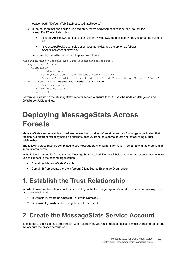location path="Default Web Site/MessageStatsReports"

- 3 In the <authentication> section, find the entry for <windowsAuthentication> and look for the useAppPoolCredentials option:
	- **▪** If the useAppPoolCredentials option is in the <windowsAuthentication> entry, change the value to true.
	- **▪** If the useAppPoolCredentials option does not exist. add the option as follows: useAppPoolCredentials="true"

For example, the edited code might appear as follows:

```
<location path="Default Web Site/MessageStatsReports">
    <system.webServer>
      <security>
         <authentication>
            <anonymousAuthentication enabled="false" />
            <windowsAuthentication enabled="true" authPersistSingleRequest="false" 
useKernelMode="true" useAppPoolCredentials="true">
            </windowsAuthentication>
         </authentication>
      </security>
```
Perform an iisreset on the MessageStats reports server to ensure that IIS uses the updated delegation and QMSReport.UDL settings.

# <span id="page-20-0"></span>**Deploying MessageStats Across Forests**

MessageStats can be used in cross-forest scenarios to gather information from an Exchange organization that resides in a different forest by using an alternate account from the external forest and establishing a trust relationship.

The following steps must be completed to use MessageStats to gather information from an Exchange organization in an external forest.

In the following scenario, Domain A has MessageStats installed. Domain B holds the alternate account you want to use to connect to the second organization.

- **•** Domain A: MessageStats Console
- **•** Domain B (represents the client forest): Client Source Exchange Organization

# <span id="page-20-1"></span>**1. Establish the Trust Relationship**

In order to use an alternate account for connecting to the Exchange organization, at a minimum a one-way Trust must be established.

- 1 In Domain A, create an Outgoing Trust with Domain B.
- 2 In Domain B, create an Incoming Trust with Domain A.

## <span id="page-20-2"></span>**2. Create the MessageStats Service Account**

To connect to the Exchange organization within Domain B, you must create an account within Domain B and grant the account the proper permissions.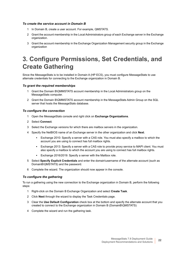### *To create the service account in Domain B*

- 1 In Domain B, create a user account. For example, QMSTATS.
- 2 Grant the account membership in the Local Administrators group of each Exchange server in the Exchange organization.
- 3 Grant the account membership in the Exchange Organization Management security group in the Exchange organization

# <span id="page-21-0"></span>**3. Configure Permissions, Set Credentials, and Create Gathering**

Since the MessageStats is to be installed in Domain A (HP ECS), you must configure MessageStats to use alternate credentials for connecting to the Exchange organization in Domain B.

### *To grant the required memberships*

- 1 Grant the Domain B\QMMSTATS account membership in the Local Administrators group on the MessageStats computer.
- 2 Grant the Domain B\QMMSTATS account membership in the MessageStats Admin Group on the SQL server that hosts the MessageStats database.

### *To configure the connection*

- 1 Open the MessageStats console and right click on **Exchange Organizations**.
- 2 Select **Connect**.
- 3 Select the Exchange versions for which there are mailbox servers in the organization.
- 4 Specify the NetBIOS name of an Exchange server in the other organization and click **Next**.
	- **▪** Exchange 2010: Specify a server with a CAS role. You must also specify a mailbox to which the account you are using to connect has full mailbox rights.
	- **Exchange 2013: Specify a server with a CAS role to provide proxy service to MAPI client. You must** also specify a mailbox to which the account you are using to connect has full mailbox rights.
	- Exchange 2016/2019: Specify a server with the Mailbox role.
- 5 Select **Specify Explicit Credentials** and enter the domain\username of the alternate account (such as DomainB\QMSTATS) and the password.
- 6 Complete the wizard. The organization should now appear in the console.

### *To configure the gathering*

To run a gathering using the new connection to the Exchange organization in Domain B, perform the following steps:

- 1 Right-click on the Domain B Exchange Organization and select **Create Task**.
- 2 Click **Next** through the wizard to display the Task Credentials page.
- 3 Clear the **Use Default Configuration** check box at the bottom and specify the alternate account that you created to connect to the Exchange organization in Domain B (DomainB\QMSTATS)
- 4 Complete the wizard and run the gathering task.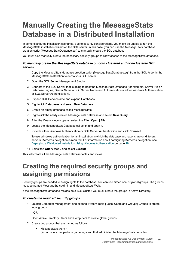# <span id="page-22-0"></span>**Manually Creating the MessageStats Database in a Distributed Installation**

In some distributed installation scenarios, due to security considerations, you might be unable to run the MessageStats installation wizard on the SQL server. In this case, you can use the MessageStats database creation script (MessageStatsDatabase.sql) to manually create the SQL database.

You must also manually create the necessary security groups to allow access to the MessageStats database.

### *To manually create the MessageStats database on both clustered and non-clustered SQL servers*

- 1 Copy the MessageStats database creation script (MessageStatsDatabase.sql) from the SQL folder in the MessageStats Installation folder to your SQL server.
- 2 Open the SQL Server Management Studio.
- 3 Connect to the SQL Server that is going to host the MessageStats Database (for example, Server Type = Database Engine, Server Name = SQL Server Name and Authentication = either Windows Authentication or SQL Server Authentication).
- 4 Expand SQL Server Name and expand Databases.
- 5 Right-click **Databases** and select **New Database**.
- 6 Create an empty database called MessageStats.
- 7 Right-click the newly created MessageStats database and select **New Query**
- 8 After the Query window opens, select the **File | Open | File**.
- 9 Locate the MessageStatsDatabase.sql script and open it.
- 10 Provide either Windows Authentication or SQL Server Authentication and click **Connect**.

To use Windows authentication for an installation in which the database and reports are on different servers, Kerberos delegation is required. For information about configuring Kerberos delegation, see [Deploying a Distributed Installation Using Windows Authentication on page 18.](#page-17-0)

11 Select the **Query Menu** and select **Execute**.

This will create all the MessageStats database tables and views.

# <span id="page-22-1"></span>**Creating the required security groups and assigning permissions**

Security groups are needed to assign rights to the database. You can use either local or global groups. The groups must be named MessageStats Admin and MessageStats Web.

If the MessageStats database resides on a SQL cluster, you must create the groups in Active Directory.

### *To create the required security groups*

1 Launch Computer Management and expand System Tools | Local Users and Groups| Groups to create local groups

- OR -

Open Active Directory Users and Computers to create global groups.

- 2 Create two groups that are named as follows:
	- **▪** MessageStats Admin (for accounts that perform gatherings and that administer the MessageStats console).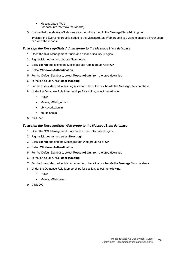**▪** MessageStats Web

(for accounts that view the reports)

3 Ensure that the MessageStats service account is added to the MessageStats Admin group.

Typically the Everyone group is added to the MessageStats Web group if you want to ensure all your users can view the reports.

### *To assign the MessageStats Admin group to the MessageStats database*

- 1 Open the SQL Management Studio and expand Security | Logins.
- 2 Right-click **Logins** and choose **New Login**.
- 3 Click **Search** and locate the MessageStats Admin group. Click **OK**.
- 4 Select **Windows Authentication**.
- 5 For the Default Database, select **MessageStats** from the drop-down list.
- 6 In the left column, click **User Mapping**.
- 7 For the Users Mapped to this Login section, check the box beside the MessageStats database.
- 8 Under the Database Role Memberships for section, select the following:
	- **▪** Public
	- **▪** MessageStats\_Admin
	- **▪** db\_securityadmin
	- **▪** db\_ddladmin.
- 9 Click **OK**.

### *To assign the MessageStats Web group to the MessageStats database*

- 1 Open the SQL Management Studio and expand Security | Logins.
- 2 Right-click **Logins** and select **New Login**.
- 3 Click **Search** and find the MessageStats Web group. Click **OK**.
- 4 Select **Windows Authentication**.
- 5 For the Default Database, select **MessageStats** from the drop-down list.
- 6 In the left column, click **User Mapping**.
- 7 For the Users Mapped to this Login section, check the box beside the MessageStats database.
- 8 Under the Database Role Memberships for section, select the following:
	- **▪** Public
	- **▪** MessageStats\_web.
- 9 Click **OK**.